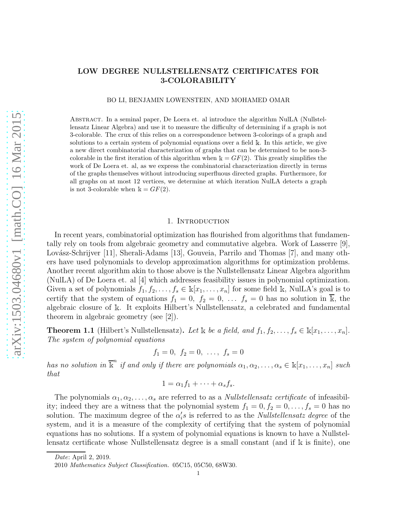# LOW DEGREE NULLSTELLENSATZ CERTIFICATES FOR 3-COLORABILITY

BO LI, BENJAMIN LOWENSTEIN, AND MOHAMED OMAR

Abstract. In a seminal paper, De Loera et. al introduce the algorithm NulLA (Nullstellensatz Linear Algebra) and use it to measure the difficulty of determining if a graph is not 3-colorable. The crux of this relies on a correspondence between 3-colorings of a graph and solutions to a certain system of polynomial equations over a field  $\Bbbk$ . In this article, we give a new direct combinatorial characterization of graphs that can be determined to be non-3 colorable in the first iteration of this algorithm when  $k = GF(2)$ . This greatly simplifies the work of De Loera et. al, as we express the combinatorial characterization directly in terms of the graphs themselves without introducing superfluous directed graphs. Furthermore, for all graphs on at most 12 vertices, we determine at which iteration NulLA detects a graph is not 3-colorable when  $\mathbb{k} = GF(2)$ .

### 1. Introduction

In recent years, combinatorial optimization has flourished from algorithms that fundamentally rely on tools from algebraic geometry and commutative algebra. Work of Lasserre [9], Lovász-Schrijver [11], Sherali-Adams [13], Gouveia, Parrilo and Thomas [7], and many others have used polynomials to develop approximation algorithms for optimization problems. Another recent algorithm akin to those above is the Nullstellensatz Linear Algebra algorithm (NulLA) of De Loera et. al [4] which addresses feasibility issues in polynomial optimization. Given a set of polynomials  $f_1, f_2, \ldots, f_s \in \mathbb{k}[x_1, \ldots, x_n]$  for some field k, NulLA's goal is to certify that the system of equations  $f_1 = 0, f_2 = 0, \ldots, f_s = 0$  has no solution in  $\overline{\mathbb{k}}$ , the algebraic closure of <sup>k</sup>. It exploits Hilbert's Nullstellensatz, a celebrated and fundamental theorem in algebraic geometry (see [2]).

**Theorem 1.1** (Hilbert's Nullstellensatz). Let k be a field, and  $f_1, f_2, \ldots, f_s \in \mathbb{k}[x_1, \ldots, x_n]$ . The system of polynomial equations

$$
f_1 = 0, f_2 = 0, \ldots, f_s = 0
$$

has no solution in  $\overline{\mathbb{k}}^n$  if and only if there are polynomials  $\alpha_1, \alpha_2, \ldots, \alpha_s \in \mathbb{k}[x_1, \ldots, x_n]$  such that

$$
1 = \alpha_1 f_1 + \cdots + \alpha_s f_s.
$$

The polynomials  $\alpha_1, \alpha_2, \ldots, \alpha_s$  are referred to as a *Nullstellensatz certificate* of infeasibility; indeed they are a witness that the polynomial system  $f_1 = 0, f_2 = 0, \ldots, f_s = 0$  has no solution. The maximum degree of the  $\alpha_i$ 's is referred to as the *Nullstellensatz degree* of the system, and it is a measure of the complexity of certifying that the system of polynomial equations has no solutions. If a system of polynomial equations is known to have a Nullstellensatz certificate whose Nullstellensatz degree is a small constant (and if <sup>k</sup> is finite), one

Date: April 2, 2019.

<sup>2010</sup> Mathematics Subject Classification. 05C15, 05C50, 68W30.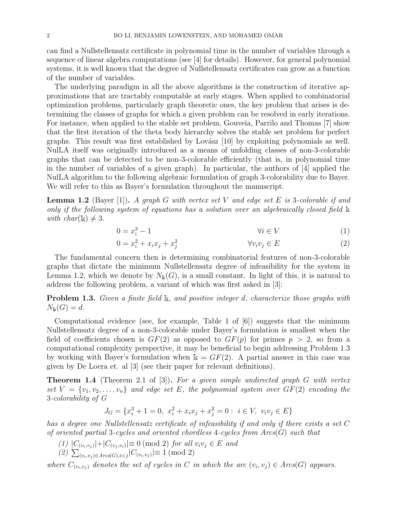can find a Nullstellensatz certificate in polynomial time in the number of variables through a sequence of linear algebra computations (see [4] for details). However, for general polynomial systems, it is well known that the degree of Nullstellensatz certificates can grow as a function of the number of variables.

The underlying paradigm in all the above algorithms is the construction of iterative approximations that are tractably computable at early stages. When applied to combinatorial optimization problems, particularly graph theoretic ones, the key problem that arises is determining the classes of graphs for which a given problem can be resolved in early iterations. For instance, when applied to the stable set problem, Gouveia, Parrilo and Thomas [7] show that the first iteration of the theta body hierarchy solves the stable set problem for perfect graphs. This result was first established by Lovász  $[10]$  by exploiting polynomials as well. NulLA itself was originally introduced as a means of unfolding classes of non-3-colorable graphs that can be detected to be non-3-colorable efficiently (that is, in polynomial time in the number of variables of a given graph). In particular, the authors of [4] applied the NulLA algorithm to the following algebraic formulation of graph 3-colorability due to Bayer. We will refer to this as Bayer's formulation throughout the manuscript.

**Lemma 1.2** (Bayer [1]). A graph G with vertex set V and edge set E is 3-colorable if and only if the following system of equations has a solution over an algebraically closed field <sup>k</sup> with  $char(\mathbb{k}) \neq 3$ .

$$
0 = x_i^3 - 1 \qquad \qquad \forall i \in V \tag{1}
$$

$$
0 = x_i^2 + x_i x_j + x_j^2 \qquad \qquad \forall v_i v_j \in E \tag{2}
$$

The fundamental concern then is determining combinatorial features of non-3-colorable graphs that dictate the minimum Nullstellensatz degree of infeasibility for the system in Lemma 1.2, which we denote by  $N_k(G)$ , is a small constant. In light of this, it is natural to address the following problem, a variant of which was first asked in [3]:

**Problem 1.3.** Given a finite field  $\mathbb{k}$ , and positive integer d, characterize those graphs with  $N_{\rm k}(G) = d.$ 

Computational evidence (see, for example, Table 1 of [6]) suggests that the minimum Nullstellensatz degree of a non-3-colorable under Bayer's formulation is smallest when the field of coefficients chosen is  $GF(2)$  as opposed to  $GF(p)$  for primes  $p > 2$ , so from a computational complexity perspective, it may be beneficial to begin addressing Problem 1.3 by working with Bayer's formulation when  $k = GF(2)$ . A partial answer in this case was given by De Loera et. al [3] (see their paper for relevant definitions).

**Theorem 1.4** (Theorem 2.1 of [3]). For a given simple undirected graph G with vertex set  $V = \{v_1, v_2, \ldots, v_n\}$  and edge set E, the polynomial system over  $GF(2)$  encoding the 3-colorability of G

$$
J_G = \{x_i^3 + 1 = 0, \ x_i^2 + x_i x_j + x_j^2 = 0 : \ i \in V, \ v_i v_j \in E\}
$$

has a degree one Nullstellensatz certificate of infeasibility if and only if there exists a set C of oriented partial 3-cycles and oriented chordless 4-cycles from  $Arcs(G)$  such that

- $(1)$   $|C_{(v_i, v_j)}| + |C_{(v_j, v_i)}| \equiv 0 \pmod{2}$  for all  $v_i v_j \in E$  and
- $(2)$   $\sum_{(v_i, v_j) \in Arcs(G), i < j} |C_{(v_i, v_j)}| \equiv 1 \pmod{2}$

where  $C_{(v_i,v_j)}$  denotes the set of cycles in C in which the arc  $(v_i,v_j) \in Arcs(G)$  appears.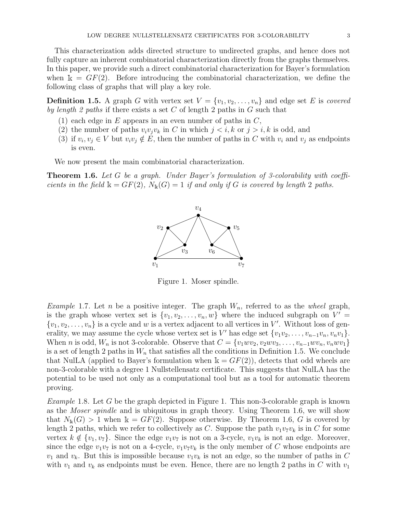This characterization adds directed structure to undirected graphs, and hence does not fully capture an inherent combinatorial characterization directly from the graphs themselves. In this paper, we provide such a direct combinatorial characterization for Bayer's formulation when  $\mathbb{k} = GF(2)$ . Before introducing the combinatorial characterization, we define the following class of graphs that will play a key role.

**Definition 1.5.** A graph G with vertex set  $V = \{v_1, v_2, \ldots, v_n\}$  and edge set E is covered by length 2 paths if there exists a set C of length 2 paths in G such that

- (1) each edge in E appears in an even number of paths in  $C$ ,
- (2) the number of paths  $v_i v_j v_k$  in C in which  $j < i, k$  or  $j > i, k$  is odd, and
- (3) if  $v_i, v_j \in V$  but  $v_i v_j \notin E$ , then the number of paths in C with  $v_i$  and  $v_j$  as endpoints is even.

We now present the main combinatorial characterization.

**Theorem 1.6.** Let G be a graph. Under Bayer's formulation of 3-colorability with coefficients in the field  $\Bbbk = GF(2)$ ,  $N_{\Bbbk}(G) = 1$  if and only if G is covered by length 2 paths.



Figure 1. Moser spindle.

*Example* 1.7. Let *n* be a positive integer. The graph  $W_n$ , referred to as the *wheel* graph, is the graph whose vertex set is  $\{v_1, v_2, \ldots, v_n, w\}$  where the induced subgraph on  $V' =$  $\{v_1, v_2, \ldots, v_n\}$  is a cycle and w is a vertex adjacent to all vertices in V'. Without loss of generality, we may assume the cycle whose vertex set is  $V'$  has edge set  $\{v_1v_2, \ldots, v_{n-1}v_n, v_nv_1\}$ . When n is odd,  $W_n$  is not 3-colorable. Observe that  $C = \{v_1wv_2, v_2wv_3, \ldots, v_{n-1}wv_n, v_n wv_1\}$ is a set of length 2 paths in  $W_n$  that satisfies all the conditions in Definition 1.5. We conclude that NullA (applied to Bayer's formulation when  $\mathbb{k} = GF(2)$ ), detects that odd wheels are non-3-colorable with a degree 1 Nullstellensatz certificate. This suggests that NulLA has the potential to be used not only as a computational tool but as a tool for automatic theorem proving.

*Example* 1.8. Let G be the graph depicted in Figure 1. This non-3-colorable graph is known as the *Moser spindle* and is ubiquitous in graph theory. Using Theorem 1.6, we will show that  $N_k(G) > 1$  when  $k = GF(2)$ . Suppose otherwise. By Theorem 1.6, G is covered by length 2 paths, which we refer to collectively as C. Suppose the path  $v_1v_7v_k$  is in C for some vertex  $k \notin \{v_1, v_7\}$ . Since the edge  $v_1v_7$  is not on a 3-cycle,  $v_1v_k$  is not an edge. Moreover, since the edge  $v_1v_7$  is not on a 4-cycle,  $v_1v_7v_k$  is the only member of C whose endpoints are  $v_1$  and  $v_k$ . But this is impossible because  $v_1v_k$  is not an edge, so the number of paths in C with  $v_1$  and  $v_k$  as endpoints must be even. Hence, there are no length 2 paths in C with  $v_1$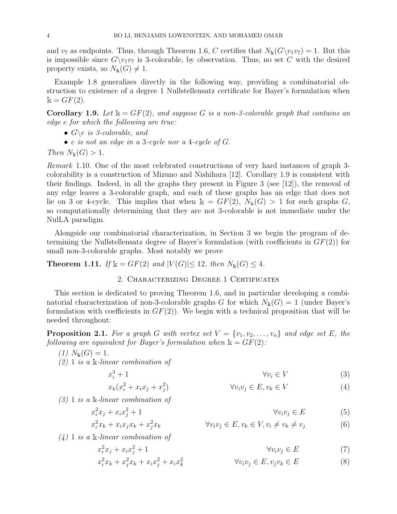and  $v_7$  as endpoints. Thus, through Theorem 1.6, C certifies that  $N_k(G\setminus v_1v_7)=1$ . But this is impossible since  $G\setminus v_1v_7$  is 3-colorable, by observation. Thus, no set C with the desired property exists, so  $N_{k}(G) \neq 1$ .

Example 1.8 generalizes directly in the following way, providing a combinatorial obstruction to existence of a degree 1 Nullstellensatz certificate for Bayer's formulation when  $k = GF(2)$ .

**Corollary 1.9.** Let  $\mathbb{k} = GF(2)$ , and suppose G is a non-3-colorable graph that contains an edge e for which the following are true:

- $G \leq s$ -colorable, and
- $\bullet$  e is not an edge in a 3-cycle nor a 4-cycle of  $G$ .

Then  $N_{\rm k}(G) > 1$ .

Remark 1.10. One of the most celebrated constructions of very hard instances of graph 3 colorability is a construction of Mizuno and Nishihara [12]. Corollary 1.9 is consistent with their findings. Indeed, in all the graphs they present in Figure 3 (see [12]), the removal of any edge leaves a 3-colorable graph, and each of these graphs has an edge that does not lie on 3 or 4-cycle. This implies that when  $k = GF(2), N_k(G) > 1$  for such graphs G, so computationally determining that they are not 3-colorable is not immediate under the NulLA paradigm.

Alongside our combinatorial characterization, in Section 3 we begin the program of determining the Nullstellensatz degree of Bayer's formulation (with coefficients in  $GF(2)$ ) for small non-3-colorable graphs. Most notably we prove

**Theorem 1.11.** If  $\mathbb{k} = GF(2)$  and  $|V(G)| \leq 12$ , then  $N_{\mathbb{k}}(G) \leq 4$ .

## 2. Characterizing Degree 1 Certificates

This section is dedicated to proving Theorem 1.6, and in particular developing a combinatorial characterization of non-3-colorable graphs G for which  $N_k(G) = 1$  (under Bayer's formulation with coefficients in  $GF(2)$ ). We begin with a technical proposition that will be needed throughout:

**Proposition 2.1.** For a graph G with vertex set  $V = \{v_1, v_2, \ldots, v_n\}$  and edge set E, the following are equivalent for Bayer's formulation when  $\mathbb{k} = GF(2)$ :

 $(1)$   $N_{k}(G) = 1$ .

 $(2)$  1 is a k-linear combination of

 $x_i^3$ 

$$
\begin{array}{cc} \n\frac{3}{i} + 1 & \forall v_i \in V \tag{3} \n\end{array}
$$

$$
\forall v_i v_j \in E, v_k \in V \tag{4}
$$

 $(3)$  1 is a k-linear combination of

 $x_k(x_i^2 + x_ix_j + x_j^2)$ 

$$
x_i^2 x_j + x_i x_j^2 + 1 \qquad \qquad \forall v_i v_j \in E \qquad (5)
$$
  

$$
x_i^2 x_k + x_i x_j x_k + x_j^2 x_k \qquad \qquad \forall v_i v_j \in E, v_k \in V, v_i \neq v_k \neq v_j \qquad (6)
$$

 $(4)$  1 is a k-linear combination of

 $\forall v_i v_j \in E$  (7)

$$
x_i^2 x_j + x_i x_j^2 + 1 \qquad \forall v_i v_j \in E \qquad (7)
$$
  

$$
x_i^2 x_k + x_j^2 x_k + x_i x_j^2 + x_i x_k^2 \qquad \forall v_i v_j \in E, v_j v_k \in E \qquad (8)
$$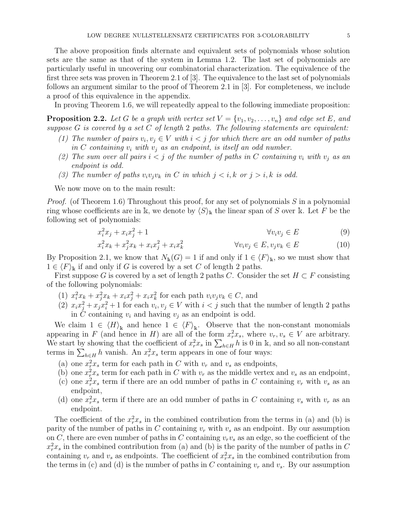The above proposition finds alternate and equivalent sets of polynomials whose solution sets are the same as that of the system in Lemma 1.2. The last set of polynomials are particularly useful in uncovering our combinatorial characterization. The equivalence of the first three sets was proven in Theorem 2.1 of [3]. The equivalence to the last set of polynomials follows an argument similar to the proof of Theorem 2.1 in [3]. For completeness, we include a proof of this equivalence in the appendix.

In proving Theorem 1.6, we will repeatedly appeal to the following immediate proposition:

**Proposition 2.2.** Let G be a graph with vertex set  $V = \{v_1, v_2, \ldots, v_n\}$  and edge set E, and suppose  $G$  is covered by a set  $C$  of length 2 paths. The following statements are equivalent:

- (1) The number of pairs  $v_i, v_j \in V$  with  $i < j$  for which there are an odd number of paths in C containing  $v_i$  with  $v_j$  as an endpoint, is itself an odd number.
- (2) The sum over all pairs  $i < j$  of the number of paths in C containing  $v_i$  with  $v_j$  as an endpoint is odd.
- (3) The number of paths  $v_i v_j v_k$  in C in which  $j \lt i, k$  or  $j > i, k$  is odd.

We now move on to the main result:

*Proof.* (of Theorem 1.6) Throughout this proof, for any set of polynomials S in a polynomial ring whose coefficients are in k, we denote by  $\langle S \rangle_{k}$  the linear span of S over k. Let F be the following set of polynomials:

$$
x_i^2 x_j + x_i x_j^2 + 1 \qquad \qquad \forall v_i v_j \in E \tag{9}
$$

$$
x_i^2 x_k + x_j^2 x_k + x_i x_j^2 + x_i x_k^2 \qquad \qquad \forall v_i v_j \in E, v_j v_k \in E \tag{10}
$$

By Proposition 2.1, we know that  $N_{\mathbb{k}}(G) = 1$  if and only if  $1 \in \langle F \rangle_{\mathbb{k}}$ , so we must show that  $1 \in \langle F \rangle_{\mathbb{R}}$  if and only if G is covered by a set C of length 2 paths.

First suppose G is covered by a set of length 2 paths C. Consider the set  $H \subset F$  consisting of the following polynomials:

- (1)  $x_i^2 x_k + x_j^2 x_k + x_i x_j^2 + x_i x_k^2$  for each path  $v_i v_j v_k \in C$ , and
- (2)  $x_i x_j^2 + x_j x_i^2 + 1$  for each  $v_i, v_j \in V$  with  $i < j$  such that the number of length 2 paths in C containing  $v_i$  and having  $v_j$  as an endpoint is odd.

We claim  $1 \in \langle H \rangle_{\mathbb{R}}$  and hence  $1 \in \langle F \rangle_{\mathbb{R}}$ . Observe that the non-constant monomials appearing in F (and hence in H) are all of the form  $x_r^2 x_s$ , where  $v_r, v_s \in V$  are arbitrary. We start by showing that the coefficient of  $x_r^2 x_s$  in  $\sum_{h\in H} h$  is 0 in k, and so all non-constant terms in  $\sum_{h\in H} h$  vanish. An  $x_r^2 x_s$  term appears in one of four ways:

- (a) one  $x_r^2 x_s$  term for each path in C with  $v_r$  and  $v_s$  as endpoints,
- (b) one  $x_r^2 x_s$  term for each path in C with  $v_r$  as the middle vertex and  $v_s$  as an endpoint,
- (c) one  $x_r^2 x_s$  term if there are an odd number of paths in C containing  $v_r$  with  $v_s$  as an endpoint,
- (d) one  $x_r^2 x_s$  term if there are an odd number of paths in C containing  $v_s$  with  $v_r$  as an endpoint.

The coefficient of the  $x_r^2 x_s$  in the combined contribution from the terms in (a) and (b) is parity of the number of paths in C containing  $v_r$  with  $v_s$  as an endpoint. By our assumption on C, there are even number of paths in C containing  $v_rv_s$  as an edge, so the coefficient of the  $x_r^2 x_s$  in the combined contribution from (a) and (b) is the parity of the number of paths in C containing  $v_r$  and  $v_s$  as endpoints. The coefficient of  $x_r^2 x_s$  in the combined contribution from the terms in (c) and (d) is the number of paths in C containing  $v_r$  and  $v_s$ . By our assumption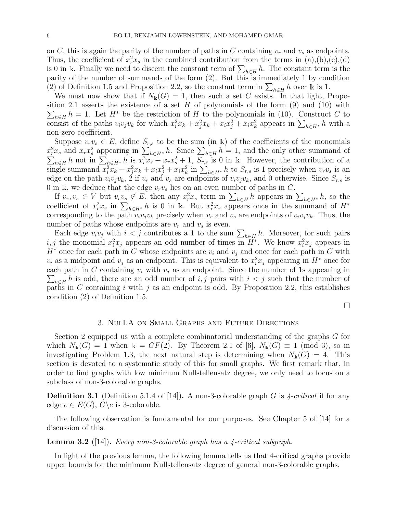on C, this is again the parity of the number of paths in C containing  $v_r$  and  $v_s$  as endpoints. Thus, the coefficient of  $x_r^2 x_s$  in the combined contribution from the terms in (a),(b),(c),(d) is 0 in k. Finally we need to discern the constant term of  $\sum_{h\in H} h$ . The constant term is the parity of the number of summands of the form (2). But this is immediately 1 by condition (2) of Definition 1.5 and Proposition 2.2, so the constant term in  $\sum_{h\in H} h$  over k is 1.

We must now show that if  $N_k(G) = 1$ , then such a set C exists. In that light, Propo- $\sum_{h\in H} h = 1$ . Let  $H^*$  be the restriction of H to the polynomials in (10). Construct C to sition 2.1 asserts the existence of a set  $H$  of polynomials of the form  $(9)$  and  $(10)$  with consist of the paths  $v_i v_j v_k$  for which  $x_i^2 x_k + x_j^2 x_k + x_i x_j^2 + x_i x_k^2$  appears in  $\sum_{h \in H^*} h$  with a non-zero coefficient.

Suppose  $v_r v_s \in E$ , define  $S_{r,s}$  to be the sum (in k) of the coefficients of the monomials  $x_r^2 x_s$  and  $x_r x_s^2$  appearing in  $\sum_{h \in H^*} h$ . Since  $\sum_{h \in H}$  $\sum$  $h = 1$ , and the only other summand of  $h_{k\in H}$  h not in  $\sum_{h\in H^*} h$  is  $x_r^2 x_s + x_r x_s^2 + 1$ ,  $S_{r,s}$  is 0 in k. However, the contribution of a single summand  $x_i^2x_k + x_j^2x_k + x_ix_j^2 + x_ix_k^2$  in  $\sum_{h\in H^*} h$  to  $S_{r,s}$  is 1 precisely when  $v_rv_s$  is an edge on the path  $v_i v_j v_k$ , 2 if  $v_r$  and  $v_s$  are endpoints of  $v_i v_j v_k$ , and 0 otherwise. Since  $S_{r,s}$  is 0 in k, we deduce that the edge  $v_r v_s$  lies on an even number of paths in C.

If  $v_r, v_s \in V$  but  $v_r v_s \notin E$ , then any  $x_r^2 x_s$  term in  $\sum_{h \in H} h$  appears in  $\sum_{h \in H^*} h$ , so the coefficient of  $x_r^2 x_s$  in  $\sum_{h\in H^*} h$  is 0 in k. But  $x_r^2 x_s$  appears once in the summand of  $H^*$ corresponding to the path  $v_i v_j v_k$  precisely when  $v_r$  and  $v_s$  are endpoints of  $v_i v_j v_k$ . Thus, the number of paths whose endpoints are  $v_r$  and  $v_s$  is even.

Each edge  $v_i v_j$  with  $i < j$  contributes a 1 to the sum  $\sum_{h \in H} h$ . Moreover, for such pairs i, j the monomial  $x_i^2 x_j$  appears an odd number of times in  $\bar{H}^*$ . We know  $x_i^2 x_j$  appears in  $H^*$  once for each path in C whose endpoints are  $v_i$  and  $v_j$  and once for each path in C with  $v_i$  as a midpoint and  $v_j$  as an endpoint. This is equivalent to  $x_i^2 x_j$  appearing in  $H^*$  once for each path in C containing  $v_i$  with  $v_j$  as an endpoint. Since the number of 1s appearing in  $\sum_{h\in H} h$  is odd, there are an odd number of i, j pairs with  $i < j$  such that the number of paths in C containing i with j as an endpoint is odd. By Proposition 2.2, this establishes condition (2) of Definition 1.5.

 $\Box$ 

### 3. NulLA on Small Graphs and Future Directions

Section 2 equipped us with a complete combinatorial understanding of the graphs G for which  $N_{\rm k}(G) = 1$  when  $\mathbb{k} = GF(2)$ . By Theorem 2.1 of [6],  $N_{\rm k}(G) \equiv 1 \pmod{3}$ , so in investigating Problem 1.3, the next natural step is determining when  $N_{\rm k}(G) = 4$ . This section is devoted to a systematic study of this for small graphs. We first remark that, in order to find graphs with low minimum Nullstellensatz degree, we only need to focus on a subclass of non-3-colorable graphs.

**Definition 3.1** (Definition 5.1.4 of [14]). A non-3-colorable graph G is  $\angle$ -critical if for any edge  $e \in E(G)$ ,  $G \e$  is 3-colorable.

The following observation is fundamental for our purposes. See Chapter 5 of [14] for a discussion of this.

#### **Lemma 3.2** ([14]). Every non-3-colorable graph has a 4-critical subgraph.

In light of the previous lemma, the following lemma tells us that 4-critical graphs provide upper bounds for the minimum Nullstellensatz degree of general non-3-colorable graphs.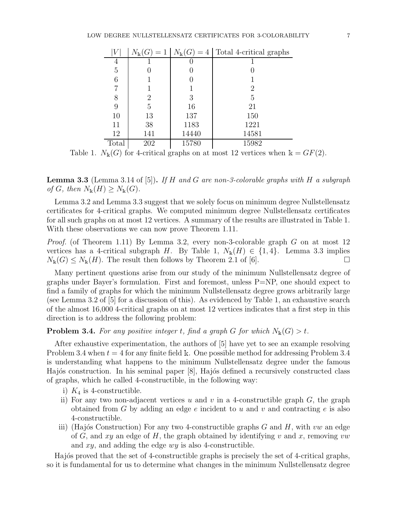|                | $N_{\rm k}(G)$<br>$=1$ | $N_{\rm k}(G)$<br>$=4$ | Total 4-critical graphs |
|----------------|------------------------|------------------------|-------------------------|
| 4              |                        |                        |                         |
| $\overline{5}$ |                        |                        |                         |
| 6              |                        | U                      |                         |
| 7              |                        |                        | 2                       |
| 8              | 2                      | 3                      | 5                       |
| 9              | 5                      | 16                     | 21                      |
| 10             | 13                     | 137                    | 150                     |
| 11             | 38                     | 1183                   | 1221                    |
| 12             | 141                    | 14440                  | 14581                   |
| Total          | 202                    | 15780                  | 15982                   |

Table 1.  $N_{\mathbb{k}}(G)$  for 4-critical graphs on at most 12 vertices when  $\mathbb{k} = GF(2)$ .

**Lemma 3.3** (Lemma 3.14 of [5]). If H and G are non-3-colorable graphs with H a subgraph of G, then  $N_{\mathbb{k}}(H) \geq N_{\mathbb{k}}(G)$ .

Lemma 3.2 and Lemma 3.3 suggest that we solely focus on minimum degree Nullstellensatz certificates for 4-critical graphs. We computed minimum degree Nullstellensatz certificates for all such graphs on at most 12 vertices. A summary of the results are illustrated in Table 1. With these observations we can now prove Theorem 1.11.

Proof. (of Theorem 1.11) By Lemma 3.2, every non-3-colorable graph G on at most 12 vertices has a 4-critical subgraph H. By Table 1,  $N_{\rm k}(H) \in \{1,4\}$ . Lemma 3.3 implies  $N_{\rm k}(G) \leq N_{\rm k}(H)$ . The result then follows by Theorem 2.1 of [6].

Many pertinent questions arise from our study of the minimum Nullstellensatz degree of graphs under Bayer's formulation. First and foremost, unless  $P=NP$ , one should expect to find a family of graphs for which the minimum Nullstellensatz degree grows arbitrarily large (see Lemma 3.2 of [5] for a discussion of this). As evidenced by Table 1, an exhaustive search of the almost 16,000 4-critical graphs on at most 12 vertices indicates that a first step in this direction is to address the following problem:

**Problem 3.4.** For any positive integer t, find a graph G for which  $N_k(G) > t$ .

After exhaustive experimentation, the authors of [5] have yet to see an example resolving Problem 3.4 when  $t = 4$  for any finite field k. One possible method for addressing Problem 3.4 is understanding what happens to the minimum Nullstellensatz degree under the famous Hajós construction. In his seminal paper [8], Hajós defined a recursively constructed class of graphs, which he called 4-constructible, in the following way:

- i)  $K_4$  is 4-constructible.
- ii) For any two non-adjacent vertices u and v in a 4-constructible graph  $G$ , the graph obtained from G by adding an edge  $e$  incident to u and v and contracting  $e$  is also 4-constructible.
- iii) (Hajós Construction) For any two 4-constructible graphs  $G$  and  $H$ , with vw an edge of G, and xy an edge of H, the graph obtained by identifying v and x, removing vw and  $xy$ , and adding the edge  $wy$  is also 4-constructible.

Hajós proved that the set of 4-constructible graphs is precisely the set of 4-critical graphs, so it is fundamental for us to determine what changes in the minimum Nullstellensatz degree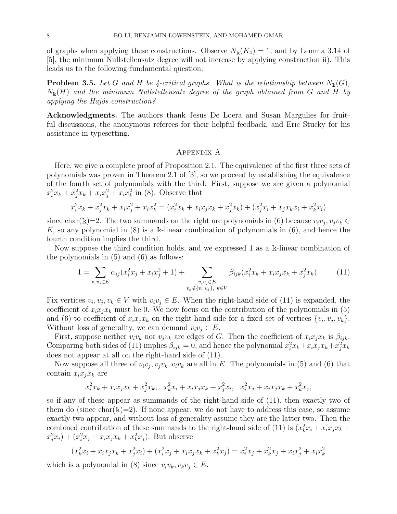of graphs when applying these constructions. Observe  $N_{\rm k}(K_4) = 1$ , and by Lemma 3.14 of [5], the minimum Nullstellensatz degree will not increase by applying construction ii). This leads us to the following fundamental question:

**Problem 3.5.** Let G and H be 4-critical graphs. What is the relationship between  $N_k(G)$ ,  $N_{\rm k}(H)$  and the minimum Nullstellensatz degree of the graph obtained from G and H by applying the Hajós construction?

Acknowledgments. The authors thank Jesus De Loera and Susan Margulies for fruitful discussions, the anonymous referees for their helpful feedback, and Eric Stucky for his assistance in typesetting.

### Appendix A

Here, we give a complete proof of Proposition 2.1. The equivalence of the first three sets of polynomials was proven in Theorem 2.1 of [3], so we proceed by establishing the equivalence of the fourth set of polynomials with the third. First, suppose we are given a polynomial  $x_i^2 x_k + x_j^2 x_k + x_i x_j^2 + x_i x_k^2$  in (8). Observe that

$$
x_i^2 x_k + x_j^2 x_k + x_i x_j^2 + x_i x_k^2 = (x_i^2 x_k + x_i x_j x_k + x_j^2 x_k) + (x_j^2 x_i + x_j x_k x_i + x_k^2 x_i)
$$

since char(k)=2. The two summands on the right are polynomials in (6) because  $v_i v_j, v_j v_k \in$ E, so any polynomial in  $(8)$  is a k-linear combination of polynomials in  $(6)$ , and hence the fourth condition implies the third.

Now suppose the third condition holds, and we expressed 1 as a <sup>k</sup>-linear combination of the polynomials in (5) and (6) as follows:

$$
1 = \sum_{v_i v_j \in E} \alpha_{ij} (x_i^2 x_j + x_i x_j^2 + 1) + \sum_{\substack{v_i v_j \in E \\ v_k \notin \{v_i, v_j\}, \ k \in V}} \beta_{ijk} (x_i^2 x_k + x_i x_j x_k + x_j^2 x_k). \tag{11}
$$

Fix vertices  $v_i, v_j, v_k \in V$  with  $v_i v_j \in E$ . When the right-hand side of (11) is expanded, the coefficient of  $x_i x_j x_k$  must be 0. We now focus on the contribution of the polynomials in (5) and (6) to coefficient of  $x_i x_j x_k$  on the right-hand side for a fixed set of vertices  $\{v_i, v_j, v_k\}$ . Without loss of generality, we can demand  $v_i v_j \in E$ .

First, suppose neither  $v_i v_k$  nor  $v_j v_k$  are edges of G. Then the coefficient of  $x_i x_j x_k$  is  $\beta_{ijk}$ . Comparing both sides of (11) implies  $\beta_{ijk} = 0$ , and hence the polynomial  $x_i^2 x_k + x_i x_j x_k + x_j^2 x_k$ does not appear at all on the right-hand side of (11).

Now suppose all three of  $v_i v_j, v_j v_k, v_i v_k$  are all in E. The polynomials in (5) and (6) that contain  $x_i x_j x_k$  are

$$
x_i^2 x_k + x_i x_j x_k + x_j^2 x_k, \quad x_k^2 x_i + x_i x_j x_k + x_j^2 x_i, \quad x_i^2 x_j + x_i x_j x_k + x_k^2 x_j,
$$

so if any of these appear as summands of the right-hand side of (11), then exactly two of them do (since char( $\Bbbk$ )=2). If none appear, we do not have to address this case, so assume exactly two appear, and without loss of generality assume they are the latter two. Then the combined contribution of these summands to the right-hand side of (11) is  $(x_k^2 x_i + x_i x_j x_k +$  $(x_j^2 x_i) + (x_i^2 x_j + x_i x_j x_k + x_k^2 x_j)$ . But observe

$$
(x_k^2x_i + x_ix_jx_k + x_j^2x_i) + (x_i^2x_j + x_ix_jx_k + x_k^2x_j) = x_i^2x_j + x_k^2x_j + x_ix_j^2 + x_ix_k^2
$$

which is a polynomial in (8) since  $v_i v_k, v_k v_j \in E$ .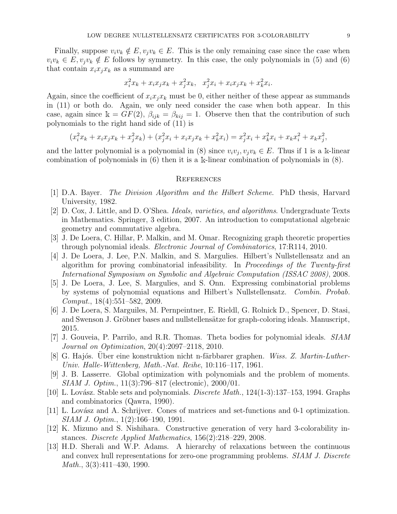Finally, suppose  $v_i v_k \notin E$ ,  $v_j v_k \in E$ . This is the only remaining case since the case when  $v_i v_k \in E$ ,  $v_j v_k \notin E$  follows by symmetry. In this case, the only polynomials in (5) and (6) that contain  $x_i x_j x_k$  as a summand are

$$
x_i^2 x_k + x_i x_j x_k + x_j^2 x_k, \quad x_j^2 x_i + x_i x_j x_k + x_k^2 x_i.
$$

Again, since the coefficient of  $x_ix_ix_k$  must be 0, either neither of these appear as summands in (11) or both do. Again, we only need consider the case when both appear. In this case, again since  $\mathbf{k} = GF(2)$ ,  $\beta_{ijk} = \beta_{kij} = 1$ . Observe then that the contribution of such polynomials to the right hand side of (11) is

$$
(x_i^2x_k + x_ix_jx_k + x_j^2x_k) + (x_j^2x_i + x_ix_jx_k + x_k^2x_i) = x_j^2x_i + x_k^2x_i + x_kx_i^2 + x_kx_j^2,
$$

and the latter polynomial is a polynomial in (8) since  $v_i v_j, v_j v_k \in E$ . Thus if 1 is a k-linear combination of polynomials in (6) then it is a <sup>k</sup>-linear combination of polynomials in (8).

#### **REFERENCES**

- [1] D.A. Bayer. The Division Algorithm and the Hilbert Scheme. PhD thesis, Harvard University, 1982.
- [2] D. Cox, J. Little, and D. O'Shea. Ideals, varieties, and algorithms. Undergraduate Texts in Mathematics. Springer, 3 edition, 2007. An introduction to computational algebraic geometry and commutative algebra.
- [3] J. De Loera, C. Hillar, P. Malkin, and M. Omar. Recognizing graph theoretic properties through polynomial ideals. Electronic Journal of Combinatorics, 17:R114, 2010.
- [4] J. De Loera, J. Lee, P.N. Malkin, and S. Margulies. Hilbert's Nullstellensatz and an algorithm for proving combinatorial infeasibility. In Proceedings of the Twenty-first International Symposium on Symbolic and Algebraic Computation (ISSAC 2008), 2008.
- [5] J. De Loera, J. Lee, S. Margulies, and S. Onn. Expressing combinatorial problems by systems of polynomial equations and Hilbert's Nullstellensatz. Combin. Probab. Comput., 18(4):551–582, 2009.
- [6] J. De Loera, S. Marguiles, M. Pernpeintner, E. Rieldl, G. Rolnick D., Spencer, D. Stasi, and Swenson J. Gröbner bases and nullstellensätze for graph-coloring ideals. Manuscript, 2015.
- [7] J. Gouveia, P. Parrilo, and R.R. Thomas. Theta bodies for polynomial ideals. SIAM Journal on Optimization, 20(4):2097–2118, 2010.
- [8] G. Hajós. Über eine konstruktion nicht n-färbbarer graphen. Wiss. Z. Martin-Luther-Univ. Halle-Wittenberg, Math.-Nat. Reihe, 10:116–117, 1961.
- [9] J. B. Lasserre. Global optimization with polynomials and the problem of moments. SIAM J. Optim., 11(3):796–817 (electronic), 2000/01.
- [10] L. Lovász. Stable sets and polynomials. *Discrete Math.*,  $124(1-3):137-153$ , 1994. Graphs and combinatorics (Qawra, 1990).
- [11] L. Lovász and A. Schrijver. Cones of matrices and set-functions and 0-1 optimization. SIAM J. Optim., 1(2):166–190, 1991.
- [12] K. Mizuno and S. Nishihara. Constructive generation of very hard 3-colorability instances. Discrete Applied Mathematics, 156(2):218–229, 2008.
- [13] H.D. Sherali and W.P. Adams. A hierarchy of relaxations between the continuous and convex hull representations for zero-one programming problems. SIAM J. Discrete Math., 3(3):411–430, 1990.